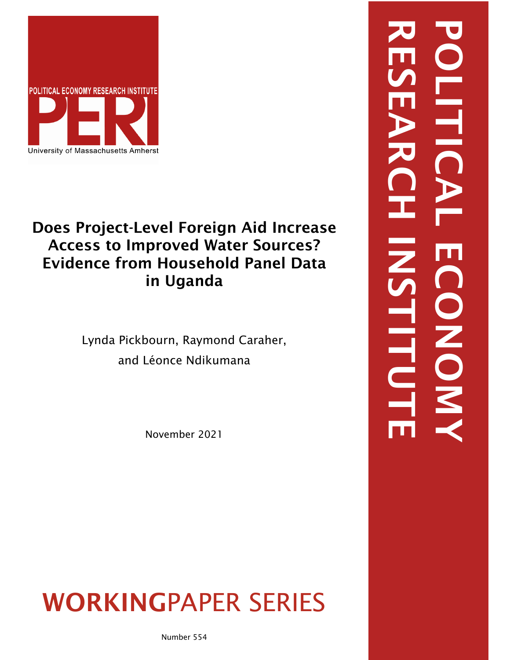

# Does Project-Level Foreign Aid Increase Access to Improved Water Sources? Evidence from Household Panel Data in Uganda

Lynda Pickbourn, Raymond Caraher, and Léonce Ndikumana

November 2021

WORKINGPAPER SERIES

RESEARCH INSTITUTE POLITICAL ECONOMYĘ DONOW EITU

Number 554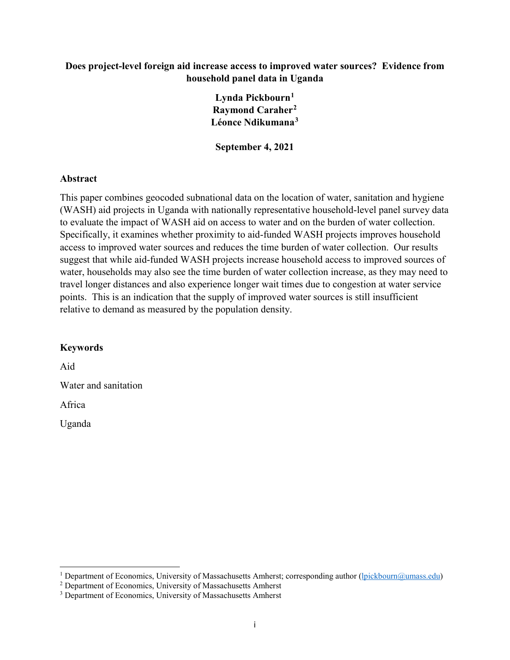## **Does project-level foreign aid increase access to improved water sources? Evidence from household panel data in Uganda**

**Lynda Pickbourn[1](#page-1-0) Raymond Caraher[2](#page-1-1) Léonce Ndikumana[3](#page-1-2)**

**September 4, 2021**

## **Abstract**

This paper combines geocoded subnational data on the location of water, sanitation and hygiene (WASH) aid projects in Uganda with nationally representative household-level panel survey data to evaluate the impact of WASH aid on access to water and on the burden of water collection. Specifically, it examines whether proximity to aid-funded WASH projects improves household access to improved water sources and reduces the time burden of water collection. Our results suggest that while aid-funded WASH projects increase household access to improved sources of water, households may also see the time burden of water collection increase, as they may need to travel longer distances and also experience longer wait times due to congestion at water service points. This is an indication that the supply of improved water sources is still insufficient relative to demand as measured by the population density.

## **Keywords**

Aid

Water and sanitation

Africa

Uganda

l

<span id="page-1-1"></span><span id="page-1-0"></span><sup>&</sup>lt;sup>1</sup> Department of Economics, University of Massachusetts Amherst; corresponding author [\(lpickbourn@umass.edu\)](mailto:lpickbourn@umass.edu) <sup>2</sup> Department of Economics, University of Massachusetts Amherst

<span id="page-1-2"></span><sup>&</sup>lt;sup>3</sup> Department of Economics, University of Massachusetts Amherst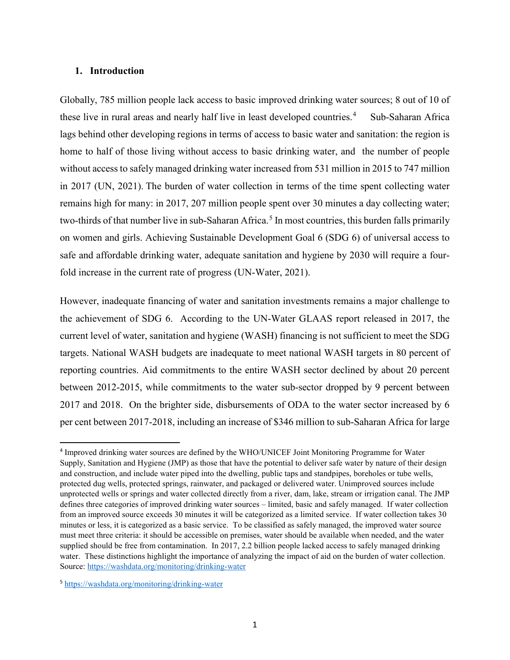#### **1. Introduction**

Globally, 785 million people lack access to basic improved drinking water sources; 8 out of 10 of these live in rural areas and nearly half live in least developed countries.<sup>[4](#page-2-0)</sup> Sub-Saharan Africa lags behind other developing regions in terms of access to basic water and sanitation: the region is home to half of those living without access to basic drinking water, and the number of people without access to safely managed drinking water increased from 531 million in 2015 to 747 million in 2017 (UN, 2021). The burden of water collection in terms of the time spent collecting water remains high for many: in 2017, 207 million people spent over 30 minutes a day collecting water; two-thirds of that number live in sub-Saharan Africa.<sup>[5](#page-2-1)</sup> In most countries, this burden falls primarily on women and girls. Achieving Sustainable Development Goal 6 (SDG 6) of universal access to safe and affordable drinking water, adequate sanitation and hygiene by 2030 will require a fourfold increase in the current rate of progress (UN-Water, 2021).

However, inadequate financing of water and sanitation investments remains a major challenge to the achievement of SDG 6. According to the UN-Water GLAAS report released in 2017, the current level of water, sanitation and hygiene (WASH) financing is not sufficient to meet the SDG targets. National WASH budgets are inadequate to meet national WASH targets in 80 percent of reporting countries. Aid commitments to the entire WASH sector declined by about 20 percent between 2012-2015, while commitments to the water sub-sector dropped by 9 percent between 2017 and 2018. On the brighter side, disbursements of ODA to the water sector increased by 6 per cent between 2017-2018, including an increase of \$346 million to sub-Saharan Africa for large

<span id="page-2-0"></span> <sup>4</sup> Improved drinking water sources are defined by the WHO/UNICEF Joint Monitoring Programme for Water Supply, Sanitation and Hygiene (JMP) as those that have the potential to deliver safe water by nature of their design and construction, and include water piped into the dwelling, public taps and standpipes, boreholes or tube wells, protected dug wells, protected springs, rainwater, and packaged or delivered water. Unimproved sources include unprotected wells or springs and water collected directly from a river, dam, lake, stream or irrigation canal. The JMP defines three categories of improved drinking water sources – limited, basic and safely managed. If water collection from an improved source exceeds 30 minutes it will be categorized as a limited service. If water collection takes 30 minutes or less, it is categorized as a basic service. To be classified as safely managed, the improved water source must meet three criteria: it should be accessible on premises, water should be available when needed, and the water supplied should be free from contamination. In 2017, 2.2 billion people lacked access to safely managed drinking water. These distinctions highlight the importance of analyzing the impact of aid on the burden of water collection. Source:<https://washdata.org/monitoring/drinking-water>

<span id="page-2-1"></span><sup>5</sup> <https://washdata.org/monitoring/drinking-water>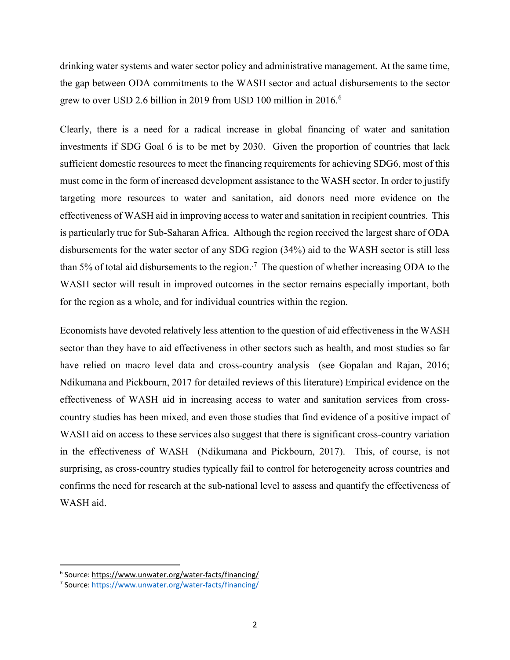drinking water systems and water sector policy and administrative management. At the same time, the gap between ODA commitments to the WASH sector and actual disbursements to the sector grew to over USD 2.[6](#page-3-0) billion in 2019 from USD 100 million in 2016.<sup>6</sup>

Clearly, there is a need for a radical increase in global financing of water and sanitation investments if SDG Goal 6 is to be met by 2030. Given the proportion of countries that lack sufficient domestic resources to meet the financing requirements for achieving SDG6, most of this must come in the form of increased development assistance to the WASH sector. In order to justify targeting more resources to water and sanitation, aid donors need more evidence on the effectiveness of WASH aid in improving access to water and sanitation in recipient countries. This is particularly true for Sub-Saharan Africa. Although the region received the largest share of ODA disbursements for the water sector of any SDG region (34%) aid to the WASH sector is still less than 5% of total aid disbursements to the region.<sup>[7](#page-3-1)</sup> The question of whether increasing ODA to the WASH sector will result in improved outcomes in the sector remains especially important, both for the region as a whole, and for individual countries within the region.

Economists have devoted relatively less attention to the question of aid effectiveness in the WASH sector than they have to aid effectiveness in other sectors such as health, and most studies so far have relied on macro level data and cross-country analysis (see Gopalan and Rajan, 2016; Ndikumana and Pickbourn, 2017 for detailed reviews of this literature) Empirical evidence on the effectiveness of WASH aid in increasing access to water and sanitation services from crosscountry studies has been mixed, and even those studies that find evidence of a positive impact of WASH aid on access to these services also suggest that there is significant cross-country variation in the effectiveness of WASH (Ndikumana and Pickbourn, 2017). This, of course, is not surprising, as cross-country studies typically fail to control for heterogeneity across countries and confirms the need for research at the sub-national level to assess and quantify the effectiveness of WASH aid.

<span id="page-3-0"></span> <sup>6</sup> Source:<https://www.unwater.org/water-facts/financing/>

<span id="page-3-1"></span><sup>7</sup> Source:<https://www.unwater.org/water-facts/financing/>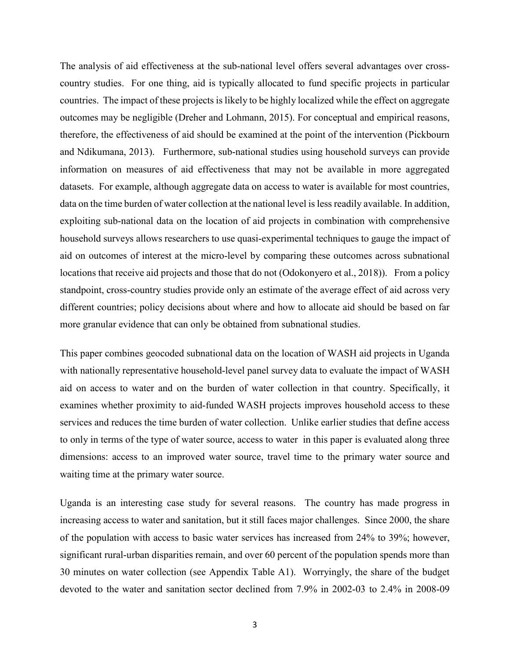The analysis of aid effectiveness at the sub-national level offers several advantages over crosscountry studies. For one thing, aid is typically allocated to fund specific projects in particular countries. The impact of these projects is likely to be highly localized while the effect on aggregate outcomes may be negligible (Dreher and Lohmann, 2015). For conceptual and empirical reasons, therefore, the effectiveness of aid should be examined at the point of the intervention (Pickbourn and Ndikumana, 2013). Furthermore, sub-national studies using household surveys can provide information on measures of aid effectiveness that may not be available in more aggregated datasets. For example, although aggregate data on access to water is available for most countries, data on the time burden of water collection at the national level is less readily available. In addition, exploiting sub-national data on the location of aid projects in combination with comprehensive household surveys allows researchers to use quasi-experimental techniques to gauge the impact of aid on outcomes of interest at the micro-level by comparing these outcomes across subnational locations that receive aid projects and those that do not (Odokonyero et al., 2018)). From a policy standpoint, cross-country studies provide only an estimate of the average effect of aid across very different countries; policy decisions about where and how to allocate aid should be based on far more granular evidence that can only be obtained from subnational studies.

This paper combines geocoded subnational data on the location of WASH aid projects in Uganda with nationally representative household-level panel survey data to evaluate the impact of WASH aid on access to water and on the burden of water collection in that country. Specifically, it examines whether proximity to aid-funded WASH projects improves household access to these services and reduces the time burden of water collection. Unlike earlier studies that define access to only in terms of the type of water source, access to water in this paper is evaluated along three dimensions: access to an improved water source, travel time to the primary water source and waiting time at the primary water source.

Uganda is an interesting case study for several reasons. The country has made progress in increasing access to water and sanitation, but it still faces major challenges. Since 2000, the share of the population with access to basic water services has increased from 24% to 39%; however, significant rural-urban disparities remain, and over 60 percent of the population spends more than 30 minutes on water collection (see Appendix Table A1). Worryingly, the share of the budget devoted to the water and sanitation sector declined from 7.9% in 2002-03 to 2.4% in 2008-09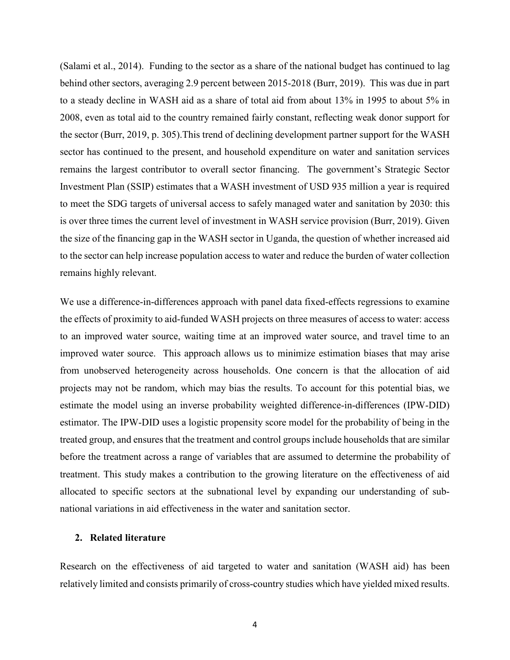(Salami et al., 2014). Funding to the sector as a share of the national budget has continued to lag behind other sectors, averaging 2.9 percent between 2015-2018 (Burr, 2019). This was due in part to a steady decline in WASH aid as a share of total aid from about 13% in 1995 to about 5% in 2008, even as total aid to the country remained fairly constant, reflecting weak donor support for the sector (Burr, 2019, p. 305).This trend of declining development partner support for the WASH sector has continued to the present, and household expenditure on water and sanitation services remains the largest contributor to overall sector financing. The government's Strategic Sector Investment Plan (SSIP) estimates that a WASH investment of USD 935 million a year is required to meet the SDG targets of universal access to safely managed water and sanitation by 2030: this is over three times the current level of investment in WASH service provision (Burr, 2019). Given the size of the financing gap in the WASH sector in Uganda, the question of whether increased aid to the sector can help increase population access to water and reduce the burden of water collection remains highly relevant.

We use a difference-in-differences approach with panel data fixed-effects regressions to examine the effects of proximity to aid-funded WASH projects on three measures of access to water: access to an improved water source, waiting time at an improved water source, and travel time to an improved water source. This approach allows us to minimize estimation biases that may arise from unobserved heterogeneity across households. One concern is that the allocation of aid projects may not be random, which may bias the results. To account for this potential bias, we estimate the model using an inverse probability weighted difference-in-differences (IPW-DID) estimator. The IPW-DID uses a logistic propensity score model for the probability of being in the treated group, and ensures that the treatment and control groups include households that are similar before the treatment across a range of variables that are assumed to determine the probability of treatment. This study makes a contribution to the growing literature on the effectiveness of aid allocated to specific sectors at the subnational level by expanding our understanding of subnational variations in aid effectiveness in the water and sanitation sector.

#### **2. Related literature**

Research on the effectiveness of aid targeted to water and sanitation (WASH aid) has been relatively limited and consists primarily of cross-country studies which have yielded mixed results.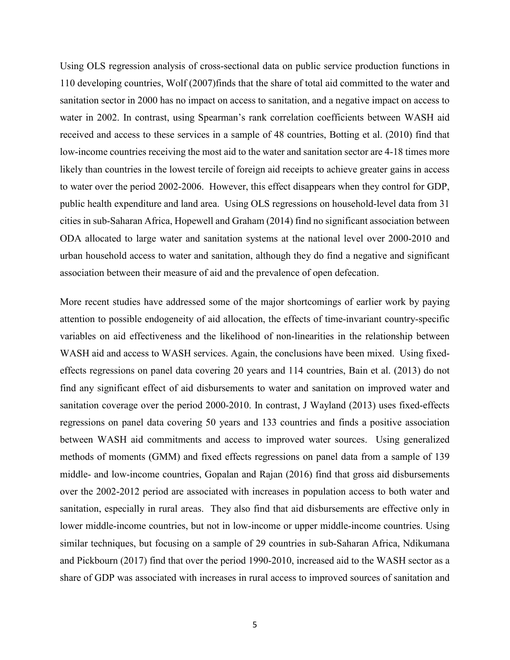Using OLS regression analysis of cross-sectional data on public service production functions in 110 developing countries, Wolf (2007)finds that the share of total aid committed to the water and sanitation sector in 2000 has no impact on access to sanitation, and a negative impact on access to water in 2002. In contrast, using Spearman's rank correlation coefficients between WASH aid received and access to these services in a sample of 48 countries, Botting et al. (2010) find that low-income countries receiving the most aid to the water and sanitation sector are 4-18 times more likely than countries in the lowest tercile of foreign aid receipts to achieve greater gains in access to water over the period 2002-2006. However, this effect disappears when they control for GDP, public health expenditure and land area. Using OLS regressions on household-level data from 31 cities in sub-Saharan Africa, Hopewell and Graham (2014) find no significant association between ODA allocated to large water and sanitation systems at the national level over 2000-2010 and urban household access to water and sanitation, although they do find a negative and significant association between their measure of aid and the prevalence of open defecation.

More recent studies have addressed some of the major shortcomings of earlier work by paying attention to possible endogeneity of aid allocation, the effects of time-invariant country-specific variables on aid effectiveness and the likelihood of non-linearities in the relationship between WASH aid and access to WASH services. Again, the conclusions have been mixed. Using fixedeffects regressions on panel data covering 20 years and 114 countries, Bain et al. (2013) do not find any significant effect of aid disbursements to water and sanitation on improved water and sanitation coverage over the period 2000-2010. In contrast, J Wayland (2013) uses fixed-effects regressions on panel data covering 50 years and 133 countries and finds a positive association between WASH aid commitments and access to improved water sources. Using generalized methods of moments (GMM) and fixed effects regressions on panel data from a sample of 139 middle- and low-income countries, Gopalan and Rajan (2016) find that gross aid disbursements over the 2002-2012 period are associated with increases in population access to both water and sanitation, especially in rural areas. They also find that aid disbursements are effective only in lower middle-income countries, but not in low-income or upper middle-income countries. Using similar techniques, but focusing on a sample of 29 countries in sub-Saharan Africa, Ndikumana and Pickbourn (2017) find that over the period 1990-2010, increased aid to the WASH sector as a share of GDP was associated with increases in rural access to improved sources of sanitation and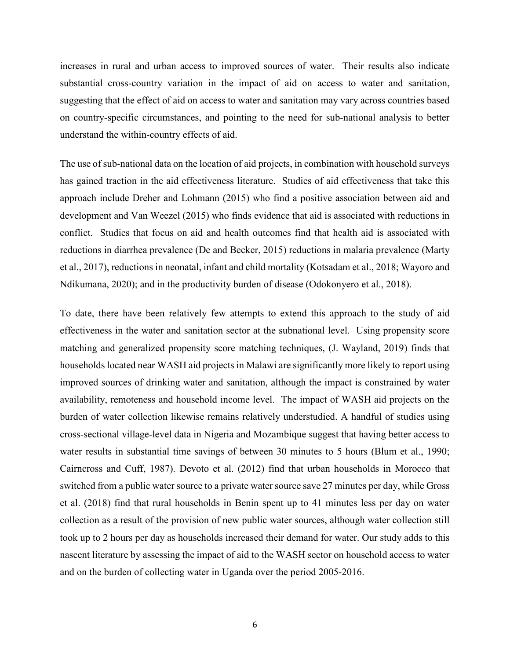increases in rural and urban access to improved sources of water. Their results also indicate substantial cross-country variation in the impact of aid on access to water and sanitation, suggesting that the effect of aid on access to water and sanitation may vary across countries based on country-specific circumstances, and pointing to the need for sub-national analysis to better understand the within-country effects of aid.

The use of sub-national data on the location of aid projects, in combination with household surveys has gained traction in the aid effectiveness literature. Studies of aid effectiveness that take this approach include Dreher and Lohmann (2015) who find a positive association between aid and development and Van Weezel (2015) who finds evidence that aid is associated with reductions in conflict. Studies that focus on aid and health outcomes find that health aid is associated with reductions in diarrhea prevalence (De and Becker, 2015) reductions in malaria prevalence (Marty et al., 2017), reductions in neonatal, infant and child mortality (Kotsadam et al., 2018; Wayoro and Ndikumana, 2020); and in the productivity burden of disease (Odokonyero et al., 2018).

To date, there have been relatively few attempts to extend this approach to the study of aid effectiveness in the water and sanitation sector at the subnational level. Using propensity score matching and generalized propensity score matching techniques, (J. Wayland, 2019) finds that households located near WASH aid projects in Malawi are significantly more likely to report using improved sources of drinking water and sanitation, although the impact is constrained by water availability, remoteness and household income level. The impact of WASH aid projects on the burden of water collection likewise remains relatively understudied. A handful of studies using cross-sectional village-level data in Nigeria and Mozambique suggest that having better access to water results in substantial time savings of between 30 minutes to 5 hours (Blum et al., 1990; Cairncross and Cuff, 1987). Devoto et al. (2012) find that urban households in Morocco that switched from a public water source to a private water source save 27 minutes per day, while Gross et al. (2018) find that rural households in Benin spent up to 41 minutes less per day on water collection as a result of the provision of new public water sources, although water collection still took up to 2 hours per day as households increased their demand for water. Our study adds to this nascent literature by assessing the impact of aid to the WASH sector on household access to water and on the burden of collecting water in Uganda over the period 2005-2016.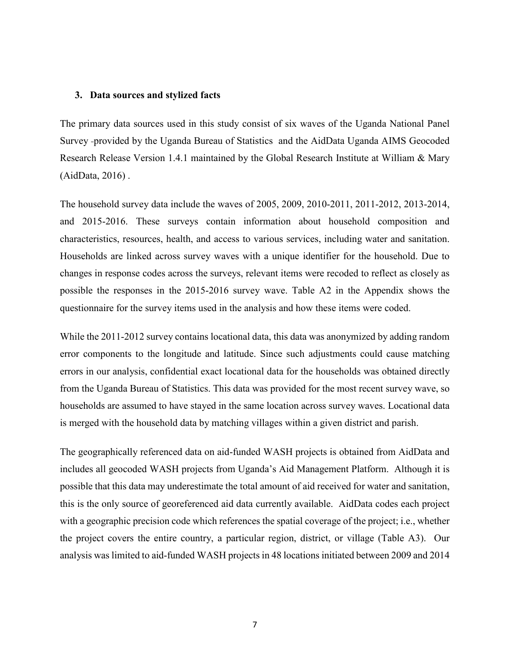#### **3. Data sources and stylized facts**

The primary data sources used in this study consist of six waves of the Uganda National Panel Survey provided by the Uganda Bureau of Statistics and the AidData Uganda AIMS Geocoded Research Release Version 1.4.1 maintained by the Global Research Institute at William & Mary (AidData, 2016) .

The household survey data include the waves of 2005, 2009, 2010-2011, 2011-2012, 2013-2014, and 2015-2016. These surveys contain information about household composition and characteristics, resources, health, and access to various services, including water and sanitation. Households are linked across survey waves with a unique identifier for the household. Due to changes in response codes across the surveys, relevant items were recoded to reflect as closely as possible the responses in the 2015-2016 survey wave. Table A2 in the Appendix shows the questionnaire for the survey items used in the analysis and how these items were coded.

While the 2011-2012 survey contains locational data, this data was anonymized by adding random error components to the longitude and latitude. Since such adjustments could cause matching errors in our analysis, confidential exact locational data for the households was obtained directly from the Uganda Bureau of Statistics. This data was provided for the most recent survey wave, so households are assumed to have stayed in the same location across survey waves. Locational data is merged with the household data by matching villages within a given district and parish.

The geographically referenced data on aid-funded WASH projects is obtained from AidData and includes all geocoded WASH projects from Uganda's Aid Management Platform. Although it is possible that this data may underestimate the total amount of aid received for water and sanitation, this is the only source of georeferenced aid data currently available. AidData codes each project with a geographic precision code which references the spatial coverage of the project; i.e., whether the project covers the entire country, a particular region, district, or village (Table A3). Our analysis was limited to aid-funded WASH projects in 48 locations initiated between 2009 and 2014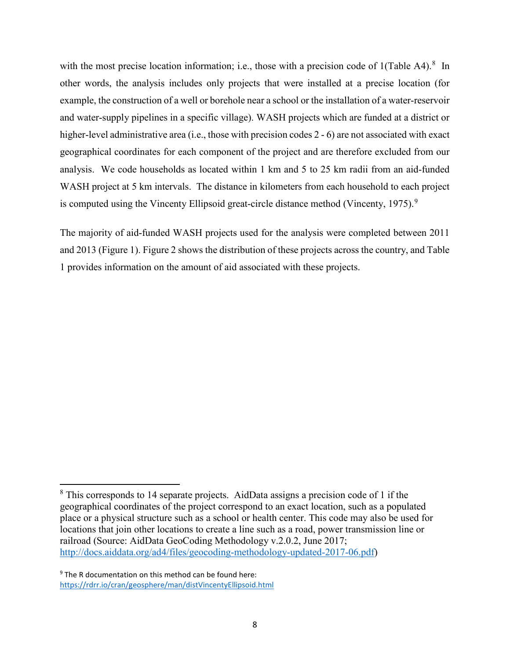with the most precise location information; i.e., those with a precision code of 1(Table A4).<sup>[8](#page-9-0)</sup> In other words, the analysis includes only projects that were installed at a precise location (for example, the construction of a well or borehole near a school or the installation of a water-reservoir and water-supply pipelines in a specific village). WASH projects which are funded at a district or higher-level administrative area (i.e., those with precision codes 2 - 6) are not associated with exact geographical coordinates for each component of the project and are therefore excluded from our analysis. We code households as located within 1 km and 5 to 25 km radii from an aid-funded WASH project at 5 km intervals. The distance in kilometers from each household to each project is computed using the Vincenty Ellipsoid great-circle distance method (Vincenty, 1[9](#page-9-1)75).<sup>9</sup>

The majority of aid-funded WASH projects used for the analysis were completed between 2011 and 2013 (Figure 1). Figure 2 shows the distribution of these projects across the country, and Table 1 provides information on the amount of aid associated with these projects.

 $\overline{\phantom{a}}$ 

<span id="page-9-0"></span><sup>8</sup> This corresponds to 14 separate projects. AidData assigns a precision code of 1 if the geographical coordinates of the project correspond to an exact location, such as a populated place or a physical structure such as a school or health center. This code may also be used for locations that join other locations to create a line such as a road, power transmission line or railroad (Source: AidData GeoCoding Methodology v.2.0.2, June 2017; [http://docs.aiddata.org/ad4/files/geocoding-methodology-updated-2017-06.pdf\)](http://docs.aiddata.org/ad4/files/geocoding-methodology-updated-2017-06.pdf)

<span id="page-9-1"></span> $9$  The R documentation on this method can be found here: <https://rdrr.io/cran/geosphere/man/distVincentyEllipsoid.html>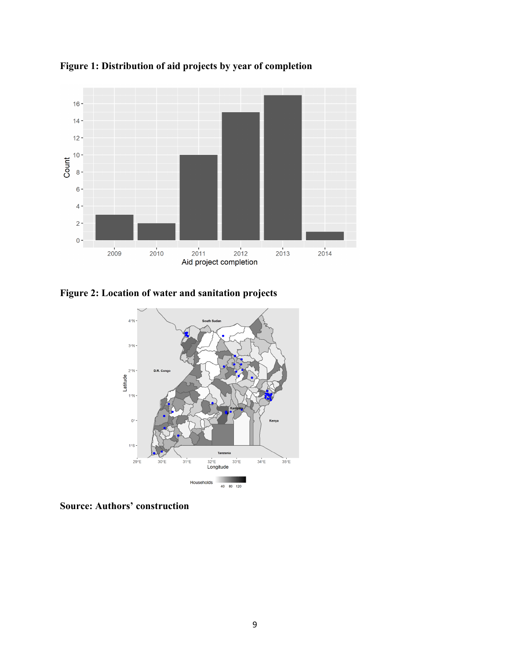

**Figure 1: Distribution of aid projects by year of completion**

**Figure 2: Location of water and sanitation projects**



**Source: Authors' construction**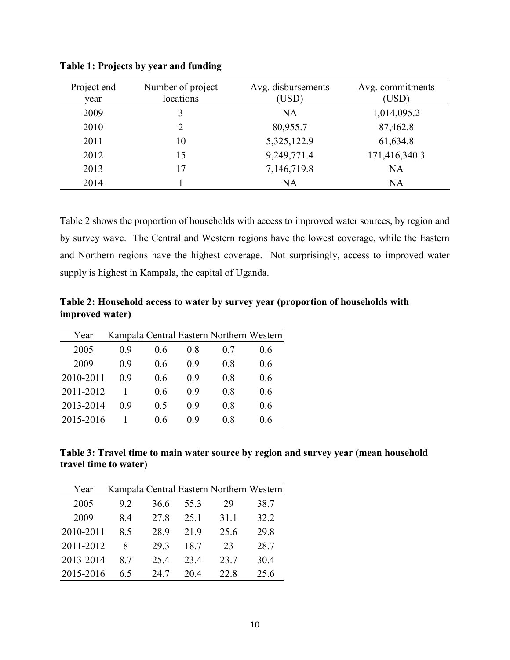| Project end<br>year | Number of project<br>locations | Avg. disbursements<br>(USD) | Avg. commitments<br>(USD) |
|---------------------|--------------------------------|-----------------------------|---------------------------|
| 2009                | 3                              | <b>NA</b>                   | 1,014,095.2               |
| 2010                |                                | 80,955.7                    | 87,462.8                  |
| 2011                | 10                             | 5,325,122.9                 | 61,634.8                  |
| 2012                | 15                             | 9,249,771.4                 | 171,416,340.3             |
| 2013                | 17                             | 7,146,719.8                 | <b>NA</b>                 |
| 2014                |                                | <b>NA</b>                   | <b>NA</b>                 |

**Table 1: Projects by year and funding**

Table 2 shows the proportion of households with access to improved water sources, by region and by survey wave. The Central and Western regions have the lowest coverage, while the Eastern and Northern regions have the highest coverage. Not surprisingly, access to improved water supply is highest in Kampala, the capital of Uganda.

**Table 2: Household access to water by survey year (proportion of households with improved water)**

| Year      |     |     |     | Kampala Central Eastern Northern Western |     |
|-----------|-----|-----|-----|------------------------------------------|-----|
| 2005      | 0.9 | 0.6 | 0.8 | 0.7                                      | 0.6 |
| 2009      | 0.9 | 0.6 | 0.9 | 0.8                                      | 0.6 |
| 2010-2011 | 0.9 | 0.6 | 0.9 | 0.8                                      | 0.6 |
| 2011-2012 |     | 0.6 | 0.9 | 0.8                                      | 0.6 |
| 2013-2014 | 0.9 | 0.5 | 0.9 | 0.8                                      | 0.6 |
| 2015-2016 |     | 0.6 | 0.9 | 0.8                                      | 0.6 |

**Table 3: Travel time to main water source by region and survey year (mean household travel time to water)**

| Year      |     |      |      | Kampala Central Eastern Northern Western |      |
|-----------|-----|------|------|------------------------------------------|------|
| 2005      | 9.2 | 36.6 | 55.3 | 29                                       | 38.7 |
| 2009      | 8.4 | 27.8 | 25.1 | 31.1                                     | 32.2 |
| 2010-2011 | 8.5 | 28.9 | 21.9 | 25.6                                     | 29.8 |
| 2011-2012 | 8   | 29.3 | 18.7 | 23                                       | 28.7 |
| 2013-2014 | 8.7 | 25.4 | 23.4 | 23.7                                     | 30.4 |
| 2015-2016 | 6.5 | 24.7 | 20.4 | 22.8                                     | 25.6 |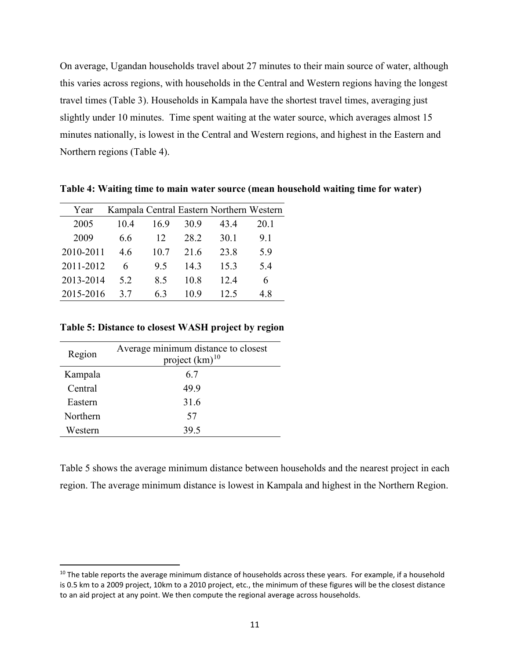On average, Ugandan households travel about 27 minutes to their main source of water, although this varies across regions, with households in the Central and Western regions having the longest travel times (Table 3). Households in Kampala have the shortest travel times, averaging just slightly under 10 minutes. Time spent waiting at the water source, which averages almost 15 minutes nationally, is lowest in the Central and Western regions, and highest in the Eastern and Northern regions (Table 4).

| Year      |      |      |      | Kampala Central Eastern Northern Western |      |
|-----------|------|------|------|------------------------------------------|------|
| 2005      | 10.4 | 16.9 | 30.9 | 43.4                                     | 20.1 |
| 2009      | 6.6  | 12   | 28.2 | 30.1                                     | 9.1  |
| 2010-2011 | 4.6  | 10.7 | 21.6 | 23.8                                     | 5.9  |
| 2011-2012 | 6    | 9.5  | 14.3 | 15.3                                     | 5.4  |
| 2013-2014 | 5.2  | 8.5  | 10.8 | 12.4                                     | 6    |
| 2015-2016 | 3.7  | 6.3  | 10.9 | 12.5                                     | 4.8  |

**Table 4: Waiting time to main water source (mean household waiting time for water)**

#### **Table 5: Distance to closest WASH project by region**

| Region   | Average minimum distance to closest<br>project $(km)^{10}$ |
|----------|------------------------------------------------------------|
| Kampala  | 6.7                                                        |
| Central  | 49.9                                                       |
| Eastern  | 31.6                                                       |
| Northern | 57                                                         |
| Western  | 39.5                                                       |

Table 5 shows the average minimum distance between households and the nearest project in each region. The average minimum distance is lowest in Kampala and highest in the Northern Region.

<span id="page-12-0"></span><sup>&</sup>lt;sup>10</sup> The table reports the average minimum distance of households across these years. For example, if a household is 0.5 km to a 2009 project, 10km to a 2010 project, etc., the minimum of these figures will be the closest distance to an aid project at any point. We then compute the regional average across households.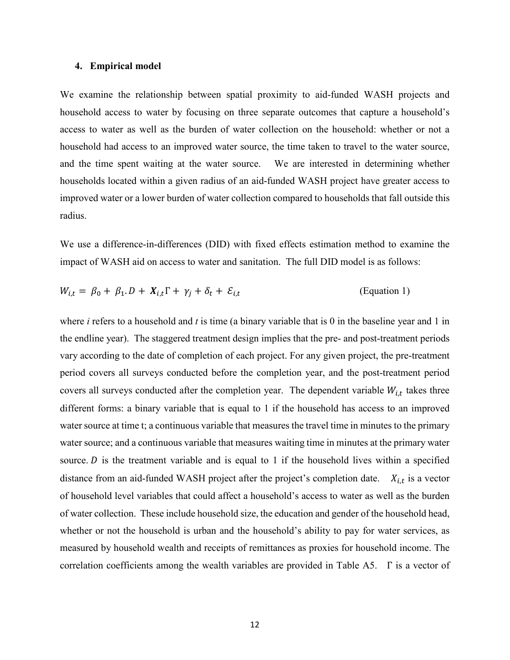#### **4. Empirical model**

We examine the relationship between spatial proximity to aid-funded WASH projects and household access to water by focusing on three separate outcomes that capture a household's access to water as well as the burden of water collection on the household: whether or not a household had access to an improved water source, the time taken to travel to the water source, and the time spent waiting at the water source. We are interested in determining whether households located within a given radius of an aid-funded WASH project have greater access to improved water or a lower burden of water collection compared to households that fall outside this radius.

We use a difference-in-differences (DID) with fixed effects estimation method to examine the impact of WASH aid on access to water and sanitation. The full DID model is as follows:

$$
W_{i,t} = \beta_0 + \beta_1 \cdot D + X_{i,t} \Gamma + \gamma_j + \delta_t + \mathcal{E}_{i,t}
$$
 (Equation 1)

where *i* refers to a household and *t* is time (a binary variable that is 0 in the baseline year and 1 in the endline year). The staggered treatment design implies that the pre- and post-treatment periods vary according to the date of completion of each project. For any given project, the pre-treatment period covers all surveys conducted before the completion year, and the post-treatment period covers all surveys conducted after the completion year. The dependent variable  $W_{i,t}$  takes three different forms: a binary variable that is equal to 1 if the household has access to an improved water source at time t; a continuous variable that measures the travel time in minutes to the primary water source; and a continuous variable that measures waiting time in minutes at the primary water source.  $D$  is the treatment variable and is equal to 1 if the household lives within a specified distance from an aid-funded WASH project after the project's completion date.  $X_{i,t}$  is a vector of household level variables that could affect a household's access to water as well as the burden of water collection. These include household size, the education and gender of the household head, whether or not the household is urban and the household's ability to pay for water services, as measured by household wealth and receipts of remittances as proxies for household income. The correlation coefficients among the wealth variables are provided in Table A5. Γ is a vector of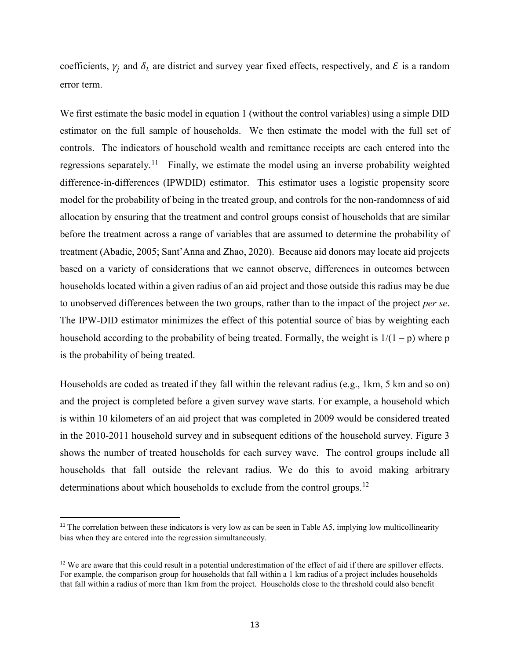coefficients,  $\gamma_j$  and  $\delta_t$  are district and survey year fixed effects, respectively, and  $\mathcal E$  is a random error term.

We first estimate the basic model in equation 1 (without the control variables) using a simple DID estimator on the full sample of households. We then estimate the model with the full set of controls. The indicators of household wealth and remittance receipts are each entered into the regressions separately.<sup>[11](#page-14-0)</sup> Finally, we estimate the model using an inverse probability weighted difference-in-differences (IPWDID) estimator. This estimator uses a logistic propensity score model for the probability of being in the treated group, and controls for the non-randomness of aid allocation by ensuring that the treatment and control groups consist of households that are similar before the treatment across a range of variables that are assumed to determine the probability of treatment (Abadie, 2005; Sant'Anna and Zhao, 2020). Because aid donors may locate aid projects based on a variety of considerations that we cannot observe, differences in outcomes between households located within a given radius of an aid project and those outside this radius may be due to unobserved differences between the two groups, rather than to the impact of the project *per se*. The IPW-DID estimator minimizes the effect of this potential source of bias by weighting each household according to the probability of being treated. Formally, the weight is  $1/(1-p)$  where p is the probability of being treated.

Households are coded as treated if they fall within the relevant radius (e.g., 1km, 5 km and so on) and the project is completed before a given survey wave starts. For example, a household which is within 10 kilometers of an aid project that was completed in 2009 would be considered treated in the 2010-2011 household survey and in subsequent editions of the household survey. Figure 3 shows the number of treated households for each survey wave. The control groups include all households that fall outside the relevant radius. We do this to avoid making arbitrary determinations about which households to exclude from the control groups.<sup>[12](#page-14-1)</sup>

<span id="page-14-0"></span><sup>&</sup>lt;sup>11</sup> The correlation between these indicators is very low as can be seen in Table A5, implying low multicollinearity bias when they are entered into the regression simultaneously.

<span id="page-14-1"></span> $12$  We are aware that this could result in a potential underestimation of the effect of aid if there are spillover effects. For example, the comparison group for households that fall within a 1 km radius of a project includes households that fall within a radius of more than 1km from the project. Households close to the threshold could also benefit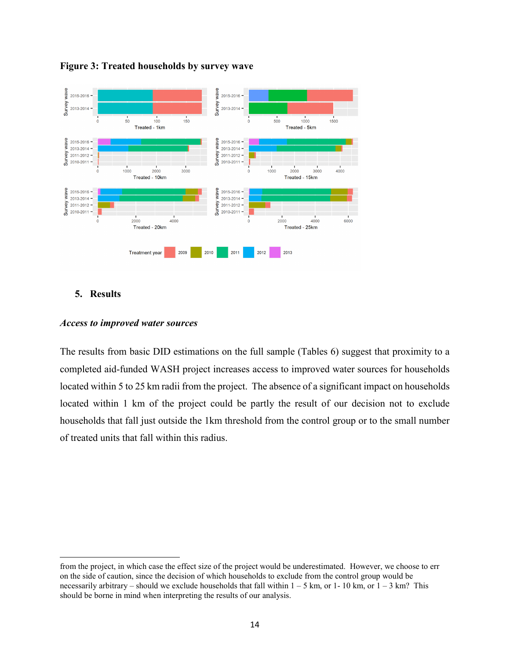

#### **Figure 3: Treated households by survey wave**

## **5. Results**

l

#### *Access to improved water sources*

The results from basic DID estimations on the full sample (Tables 6) suggest that proximity to a completed aid-funded WASH project increases access to improved water sources for households located within 5 to 25 km radii from the project. The absence of a significant impact on households located within 1 km of the project could be partly the result of our decision not to exclude households that fall just outside the 1km threshold from the control group or to the small number of treated units that fall within this radius.

from the project, in which case the effect size of the project would be underestimated. However, we choose to err on the side of caution, since the decision of which households to exclude from the control group would be necessarily arbitrary – should we exclude households that fall within  $1 - 5$  km, or  $1 - 10$  km, or  $1 - 3$  km? This should be borne in mind when interpreting the results of our analysis.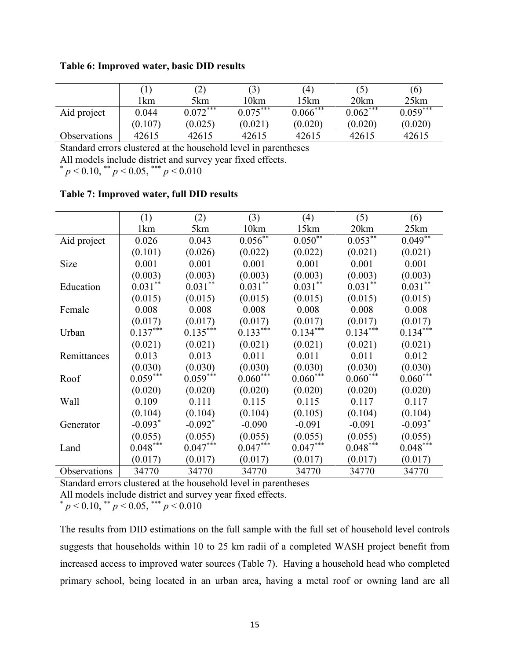|              |                 | $\left( 2\right)$ | (3)        | (4)         |            | (6)        |
|--------------|-----------------|-------------------|------------|-------------|------------|------------|
|              | <sup>1</sup> km | 5km               | !0km       | l 5km       | 20km       | 25km       |
| Aid project  | 0.044           | $0.072***$        | $0.075***$ | $0.066$ *** | $0.062***$ | $0.059***$ |
|              | (0.107)         | (0.025)           | (0.021)    | (0.020)     | (0.020)    | (0.020)    |
| Observations | 42615           | 42615             | 42615      | 42615       | 42615      | 42615      |

Standard errors clustered at the household level in parentheses All models include district and survey year fixed effects.

 $p < 0.10$ , \*\*  $p < 0.05$ , \*\*\*  $p < 0.010$ 

|              | (1)        | (2)                   | (3)          | (4)        | (5)           | (6)        |
|--------------|------------|-----------------------|--------------|------------|---------------|------------|
|              | 1km        | 5km                   | 10km         | 15km       | 20km          | 25km       |
| Aid project  | 0.026      | 0.043                 | $0.056^{**}$ | $0.050**$  | $0.053***$    | $0.049**$  |
|              | (0.101)    | (0.026)               | (0.022)      | (0.022)    | (0.021)       | (0.021)    |
| Size         | 0.001      | 0.001                 | 0.001        | 0.001      | 0.001         | 0.001      |
|              | (0.003)    | (0.003)               | (0.003)      | (0.003)    | (0.003)       | (0.003)    |
| Education    | $0.031**$  | $0.031***$            | $0.031**$    | $0.031$ ** | $0.031***$    | $0.031**$  |
|              | (0.015)    | (0.015)               | (0.015)      | (0.015)    | (0.015)       | (0.015)    |
| Female       | 0.008      | 0.008                 | 0.008        | 0.008      | 0.008         | 0.008      |
|              | (0.017)    | (0.017)               | (0.017)      | (0.017)    | (0.017)       | (0.017)    |
| Urban        | $0.137***$ | $0.135***$            | $0.133***$   | $0.134***$ | $0.134***$    | $0.134***$ |
|              | (0.021)    | (0.021)               | (0.021)      | (0.021)    | (0.021)       | (0.021)    |
| Remittances  | 0.013      | 0.013                 | 0.011        | 0.011      | 0.011         | 0.012      |
|              | (0.030)    | (0.030)               | (0.030)      | (0.030)    | (0.030)       | (0.030)    |
| Roof         | $0.059***$ | $0.059***$            | $0.060***$   | $0.060***$ | $0.060^{***}$ | $0.060***$ |
|              | (0.020)    | (0.020)               | (0.020)      | (0.020)    | (0.020)       | (0.020)    |
| Wall         | 0.109      | 0.111                 | 0.115        | 0.115      | 0.117         | 0.117      |
|              | (0.104)    | (0.104)               | (0.104)      | (0.105)    | (0.104)       | (0.104)    |
| Generator    | $-0.093*$  | $-0.092$ <sup>*</sup> | $-0.090$     | $-0.091$   | $-0.091$      | $-0.093*$  |
|              | (0.055)    | (0.055)               | (0.055)      | (0.055)    | (0.055)       | (0.055)    |
| Land         | $0.048***$ | $0.047***$            | $0.047***$   | $0.047***$ | $0.048***$    | $0.048***$ |
|              | (0.017)    | (0.017)               | (0.017)      | (0.017)    | (0.017)       | (0.017)    |
| Observations | 34770      | 34770                 | 34770        | 34770      | 34770         | 34770      |

## **Table 7: Improved water, full DID results**

Standard errors clustered at the household level in parentheses

All models include district and survey year fixed effects.

 $p < 0.10$ , \*\*  $p < 0.05$ , \*\*\*  $p < 0.010$ 

The results from DID estimations on the full sample with the full set of household level controls suggests that households within 10 to 25 km radii of a completed WASH project benefit from increased access to improved water sources (Table 7). Having a household head who completed primary school, being located in an urban area, having a metal roof or owning land are all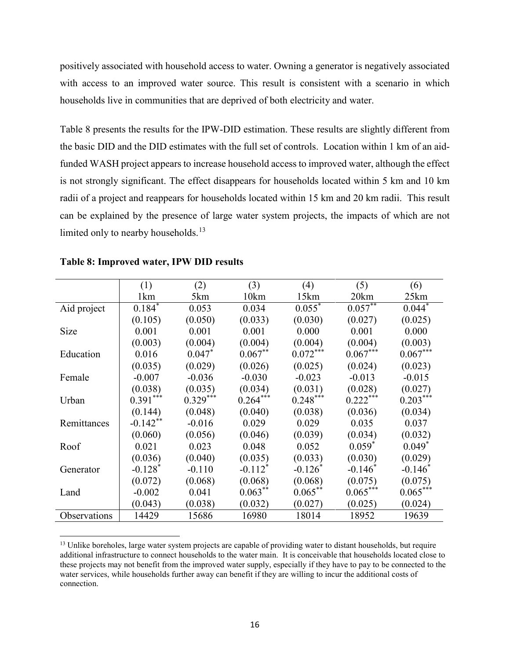positively associated with household access to water. Owning a generator is negatively associated with access to an improved water source. This result is consistent with a scenario in which households live in communities that are deprived of both electricity and water.

Table 8 presents the results for the IPW-DID estimation. These results are slightly different from the basic DID and the DID estimates with the full set of controls. Location within 1 km of an aidfunded WASH project appears to increase household access to improved water, although the effect is not strongly significant. The effect disappears for households located within 5 km and 10 km radii of a project and reappears for households located within 15 km and 20 km radii. This result can be explained by the presence of large water system projects, the impacts of which are not limited only to nearby households.<sup>[13](#page-17-0)</sup>

|              | (1)                   | (2)        | (3)                   | (4)        | (5)        | (6)        |
|--------------|-----------------------|------------|-----------------------|------------|------------|------------|
|              | 1km                   | 5km        | 10km                  | 15km       | 20km       | 25km       |
| Aid project  | $0.184*$              | 0.053      | 0.034                 | $0.055^*$  | $0.057***$ | $0.044*$   |
|              | (0.105)               | (0.050)    | (0.033)               | (0.030)    | (0.027)    | (0.025)    |
| Size         | 0.001                 | 0.001      | 0.001                 | 0.000      | 0.001      | 0.000      |
|              | (0.003)               | (0.004)    | (0.004)               | (0.004)    | (0.004)    | (0.003)    |
| Education    | 0.016                 | 0.047      | $0.067***$            | $0.072***$ | $0.067***$ | $0.067***$ |
|              | (0.035)               | (0.029)    | (0.026)               | (0.025)    | (0.024)    | (0.023)    |
| Female       | $-0.007$              | $-0.036$   | $-0.030$              | $-0.023$   | $-0.013$   | $-0.015$   |
|              | (0.038)               | (0.035)    | (0.034)               | (0.031)    | (0.028)    | (0.027)    |
| Urban        | $0.391***$            | $0.329***$ | $0.264***$            | $0.248***$ | $0.222***$ | $0.203***$ |
|              | (0.144)               | (0.048)    | (0.040)               | (0.038)    | (0.036)    | (0.034)    |
| Remittances  | $-0.142**$            | $-0.016$   | 0.029                 | 0.029      | 0.035      | 0.037      |
|              | (0.060)               | (0.056)    | (0.046)               | (0.039)    | (0.034)    | (0.032)    |
| Roof         | 0.021                 | 0.023      | 0.048                 | 0.052      | $0.059*$   | $0.049*$   |
|              | (0.036)               | (0.040)    | (0.035)               | (0.033)    | (0.030)    | (0.029)    |
| Generator    | $-0.128$ <sup>*</sup> | $-0.110$   | $-0.112$ <sup>*</sup> | $-0.126^*$ | $-0.146^*$ | $-0.146^*$ |
|              | (0.072)               | (0.068)    | (0.068)               | (0.068)    | (0.075)    | (0.075)    |
| Land         | $-0.002$              | 0.041      | $0.063***$            | $0.065***$ | $0.065***$ | $0.065***$ |
|              | (0.043)               | (0.038)    | (0.032)               | (0.027)    | (0.025)    | (0.024)    |
| Observations | 14429                 | 15686      | 16980                 | 18014      | 18952      | 19639      |

**Table 8: Improved water, IPW DID results**

 $\overline{a}$ 

<span id="page-17-0"></span><sup>&</sup>lt;sup>13</sup> Unlike boreholes, large water system projects are capable of providing water to distant households, but require additional infrastructure to connect households to the water main. It is conceivable that households located close to these projects may not benefit from the improved water supply, especially if they have to pay to be connected to the water services, while households further away can benefit if they are willing to incur the additional costs of connection.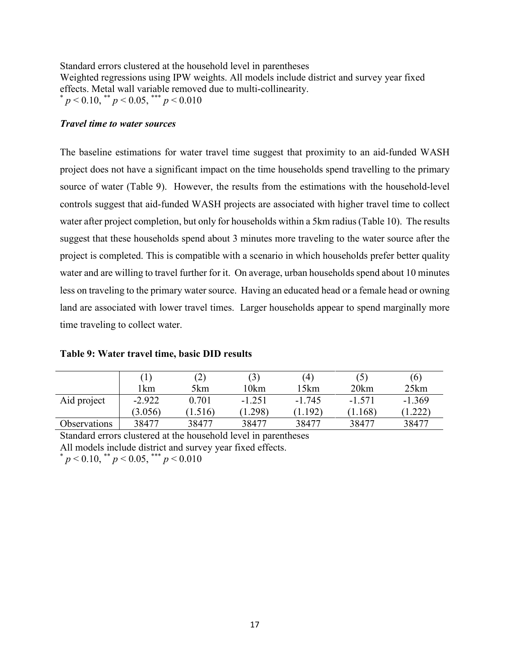Standard errors clustered at the household level in parentheses Weighted regressions using IPW weights. All models include district and survey year fixed effects. Metal wall variable removed due to multi-collinearity.  $p^* = p < 0.10$ , \*\*  $p < 0.05$ , \*\*\*  $p < 0.010$ 

## *Travel time to water sources*

The baseline estimations for water travel time suggest that proximity to an aid-funded WASH project does not have a significant impact on the time households spend travelling to the primary source of water (Table 9). However, the results from the estimations with the household-level controls suggest that aid-funded WASH projects are associated with higher travel time to collect water after project completion, but only for households within a 5km radius (Table 10). The results suggest that these households spend about 3 minutes more traveling to the water source after the project is completed. This is compatible with a scenario in which households prefer better quality water and are willing to travel further for it. On average, urban households spend about 10 minutes less on traveling to the primary water source. Having an educated head or a female head or owning land are associated with lower travel times. Larger households appear to spend marginally more time traveling to collect water.

|              |          | $\left( 2\right)$ | (3)      | (4)      |          | (6)      |
|--------------|----------|-------------------|----------|----------|----------|----------|
|              | 1km      | 5km               | l0km     | 15km     | 20km     | 25km     |
| Aid project  | $-2.922$ | 0.701             | $-1.251$ | $-1.745$ | $-1.571$ | $-1.369$ |
|              | (3.056)  | (1.516)           | (1.298)  | (1.192)  | (1.168)  | .222)    |
| Observations | 38477    | 38477             | 38477    | 38477    | 38477    | 38477    |

## **Table 9: Water travel time, basic DID results**

Standard errors clustered at the household level in parentheses All models include district and survey year fixed effects.

 $p < 0.10$ , \*\*  $p < 0.05$ , \*\*\*  $p < 0.010$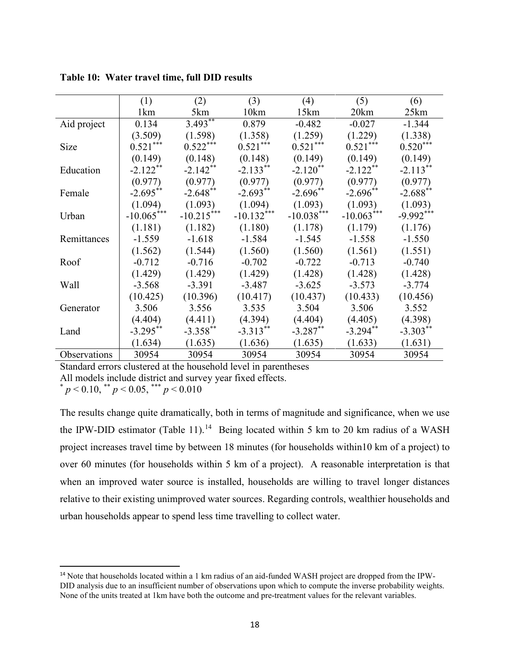|              | (1)             | (2)          | (3)          | (4)          | (5)          | (6)         |
|--------------|-----------------|--------------|--------------|--------------|--------------|-------------|
|              | 1 <sub>km</sub> | 5km          | 10km         | 15km         | 20km         | 25km        |
| Aid project  | 0.134           | $3.493***$   | 0.879        | $-0.482$     | $-0.027$     | $-1.344$    |
|              | (3.509)         | (1.598)      | (1.358)      | (1.259)      | (1.229)      | (1.338)     |
| Size         | $0.521***$      | $0.522***$   | $0.521***$   | $0.521***$   | $0.521***$   | $0.520***$  |
|              | (0.149)         | (0.148)      | (0.148)      | (0.149)      | (0.149)      | (0.149)     |
| Education    | $-2.122***$     | $-2.142**$   | $-2.133***$  | $-2.120$ **  | $-2.122**$   | $-2.113**$  |
|              | (0.977)         | (0.977)      | (0.977)      | (0.977)      | (0.977)      | (0.977)     |
| Female       | $-2.695**$      | $-2.648$ **  | $-2.693**$   | $-2.696**$   | $-2.696**$   | $-2.688$ ** |
|              | (1.094)         | (1.093)      | (1.094)      | (1.093)      | (1.093)      | (1.093)     |
| Urban        | $-10.065***$    | $-10.215***$ | $-10.132***$ | $-10.038***$ | $-10.063***$ | $-9.992***$ |
|              | (1.181)         | (1.182)      | (1.180)      | (1.178)      | (1.179)      | (1.176)     |
| Remittances  | $-1.559$        | $-1.618$     | $-1.584$     | $-1.545$     | $-1.558$     | $-1.550$    |
|              | (1.562)         | (1.544)      | (1.560)      | (1.560)      | (1.561)      | (1.551)     |
| Roof         | $-0.712$        | $-0.716$     | $-0.702$     | $-0.722$     | $-0.713$     | $-0.740$    |
|              | (1.429)         | (1.429)      | (1.429)      | (1.428)      | (1.428)      | (1.428)     |
| Wall         | $-3.568$        | $-3.391$     | $-3.487$     | $-3.625$     | $-3.573$     | $-3.774$    |
|              | (10.425)        | (10.396)     | (10.417)     | (10.437)     | (10.433)     | (10.456)    |
| Generator    | 3.506           | 3.556        | 3.535        | 3.504        | 3.506        | 3.552       |
|              | (4.404)         | (4.411)      | (4.394)      | (4.404)      | (4.405)      | (4.398)     |
| Land         | $-3.295***$     | $-3.358$ **  | $-3.313***$  | $-3.287**$   | $-3.294**$   | $-3.303$ ** |
|              | (1.634)         | (1.635)      | (1.636)      | (1.635)      | (1.633)      | (1.631)     |
| Observations | 30954           | 30954        | 30954        | 30954        | 30954        | 30954       |

**Table 10: Water travel time, full DID results**

Standard errors clustered at the household level in parentheses All models include district and survey year fixed effects.

\* *p* < 0.10, \*\* *p* < 0.05, \*\*\* *p* < 0.010

The results change quite dramatically, both in terms of magnitude and significance, when we use the IPW-DID estimator (Table 11).<sup>[14](#page-19-0)</sup> Being located within 5 km to 20 km radius of a WASH project increases travel time by between 18 minutes (for households within10 km of a project) to over 60 minutes (for households within 5 km of a project). A reasonable interpretation is that when an improved water source is installed, households are willing to travel longer distances relative to their existing unimproved water sources. Regarding controls, wealthier households and urban households appear to spend less time travelling to collect water.

<span id="page-19-0"></span><sup>&</sup>lt;sup>14</sup> Note that households located within a 1 km radius of an aid-funded WASH project are dropped from the IPW-DID analysis due to an insufficient number of observations upon which to compute the inverse probability weights. None of the units treated at 1km have both the outcome and pre-treatment values for the relevant variables.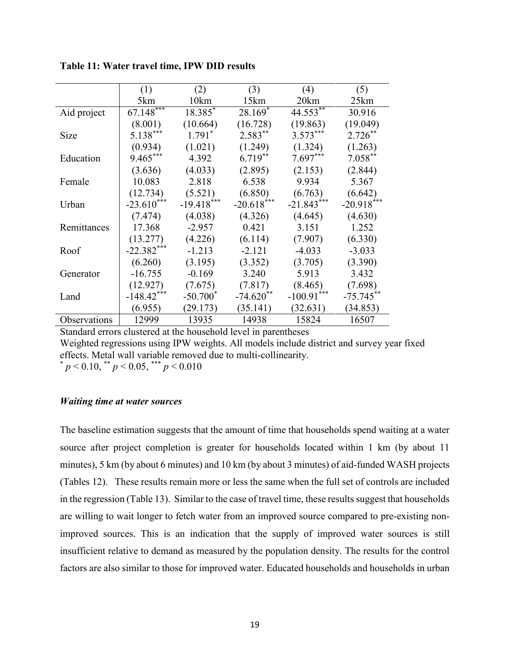|              | (1)          | (2)                   | (3)                   | (4)          | (5)          |
|--------------|--------------|-----------------------|-----------------------|--------------|--------------|
|              | 5km          | 10km                  | 15km                  | 20km         | 25km         |
| Aid project  | $67.148***$  | $18.385$ <sup>*</sup> | $28.169$ <sup>*</sup> | $44.553***$  | 30.916       |
|              | (8.001)      | (10.664)              | (16.728)              | (19.863)     | (19.049)     |
| Size         | $5.138***$   | $1.791*$              | $2.583***$            | $3.573***$   | $2.726***$   |
|              | (0.934)      | (1.021)               | (1.249)               | (1.324)      | (1.263)      |
| Education    | $9.465***$   | 4.392                 | $6.719**$             | $7.697***$   | $7.058***$   |
|              | (3.636)      | (4.033)               | (2.895)               | (2.153)      | (2.844)      |
| Female       | 10.083       | 2.818                 | 6.538                 | 9.934        | 5.367        |
|              | (12.734)     | (5.521)               | (6.850)               | (6.763)      | (6.642)      |
| Urban        | $-23.610***$ | $-19.418***$          | $-20.618***$          | $-21.843***$ | $-20.918***$ |
|              | (7.474)      | (4.038)               | (4.326)               | (4.645)      | (4.630)      |
| Remittances  | 17.368       | $-2.957$              | 0.421                 | 3.151        | 1.252        |
|              | (13.277)     | (4.226)               | (6.114)               | (7.907)      | (6.330)      |
| Roof         | $-22.382***$ | $-1.213$              | $-2.121$              | $-4.033$     | $-3.033$     |
|              | (6.260)      | (3.195)               | (3.352)               | (3.705)      | (3.390)      |
| Generator    | $-16.755$    | $-0.169$              | 3.240                 | 5.913        | 3.432        |
|              | (12.927)     | (7.675)               | (7.817)               | (8.465)      | (7.698)      |
| Land         | $-148.42***$ | $-50.700*$            | $-74.620**$           | $-100.91***$ | $-75.745**$  |
|              | (6.955)      | (29.173)              | (35.141)              | (32.631)     | (34.853)     |
| Observations | 12999        | 13935                 | 14938                 | 15824        | 16507        |

**Table 11: Water travel time, IPW DID results**

Standard errors clustered at the household level in parentheses Weighted regressions using IPW weights. All models include district and survey year fixed effects. Metal wall variable removed due to multi-collinearity.  $p < 0.10,$  \*\*  $p < 0.05,$  \*\*\*  $p < 0.010$ 

#### *Waiting time at water sources*

The baseline estimation suggests that the amount of time that households spend waiting at a water source after project completion is greater for households located within 1 km (by about 11 minutes), 5 km (by about 6 minutes) and 10 km (by about 3 minutes) of aid-funded WASH projects (Tables 12). These results remain more or less the same when the full set of controls are included in the regression (Table 13). Similar to the case of travel time, these results suggest that households are willing to wait longer to fetch water from an improved source compared to pre-existing nonimproved sources. This is an indication that the supply of improved water sources is still insufficient relative to demand as measured by the population density. The results for the control factors are also similar to those for improved water. Educated households and households in urban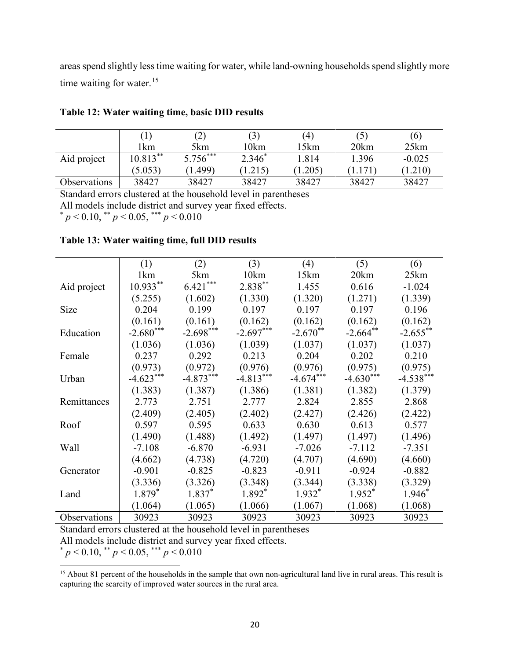areas spend slightly less time waiting for water, while land-owning households spend slightly more time waiting for water. $15$ 

|              |             | $\left( 2\right)$ | (3)      | (4)             |       | (6)      |
|--------------|-------------|-------------------|----------|-----------------|-------|----------|
|              | 1km         | 5km               | l 0km    | l 5km           | 20km  | 25km     |
| Aid project  | $10.813***$ | $5.756***$        | $2.346*$ | 1.814           | 1.396 | $-0.025$ |
|              | (5.053)     | (0.499)           | 1.215    | $1.205^{\circ}$ |       | (1.210)  |
| Observations | 38427       | 38427             | 38427    | 38427           | 38427 | 38427    |

## **Table 12: Water waiting time, basic DID results**

Standard errors clustered at the household level in parentheses

All models include district and survey year fixed effects.

 $p < 0.10$ , \*\*  $p < 0.05$ , \*\*\*  $p < 0.010$ 

#### **Table 13: Water waiting time, full DID results**

|              | (1)         | (2)         | (3)         | (4)         | (5)         | (6)         |
|--------------|-------------|-------------|-------------|-------------|-------------|-------------|
|              | 1km         | 5km         | 10km        | 15km        | 20km        | 25km        |
| Aid project  | $10.933***$ | $6.421***$  | $2.838***$  | 1.455       | 0.616       | $-1.024$    |
|              | (5.255)     | (1.602)     | (1.330)     | (1.320)     | (1.271)     | (1.339)     |
| Size         | 0.204       | 0.199       | 0.197       | 0.197       | 0.197       | 0.196       |
|              | (0.161)     | (0.161)     | (0.162)     | (0.162)     | (0.162)     | (0.162)     |
| Education    | $-2.680***$ | $-2.698***$ | $-2.697***$ | $-2.670**$  | $-2.664**$  | $-2.655***$ |
|              | (1.036)     | (1.036)     | (1.039)     | (1.037)     | (1.037)     | (1.037)     |
| Female       | 0.237       | 0.292       | 0.213       | 0.204       | 0.202       | 0.210       |
|              | (0.973)     | (0.972)     | (0.976)     | (0.976)     | (0.975)     | (0.975)     |
| Urban        | $-4.623***$ | $-4.873***$ | $-4.813***$ | $-4.674***$ | $-4.630***$ | $-4.538***$ |
|              | (1.383)     | (1.387)     | (1.386)     | (1.381)     | (1.382)     | (1.379)     |
| Remittances  | 2.773       | 2.751       | 2.777       | 2.824       | 2.855       | 2.868       |
|              | (2.409)     | (2.405)     | (2.402)     | (2.427)     | (2.426)     | (2.422)     |
| Roof         | 0.597       | 0.595       | 0.633       | 0.630       | 0.613       | 0.577       |
|              | (1.490)     | (1.488)     | (1.492)     | (1.497)     | (1.497)     | (1.496)     |
| Wall         | $-7.108$    | $-6.870$    | $-6.931$    | $-7.026$    | $-7.112$    | $-7.351$    |
|              | (4.662)     | (4.738)     | (4.720)     | (4.707)     | (4.690)     | (4.660)     |
| Generator    | $-0.901$    | $-0.825$    | $-0.823$    | $-0.911$    | $-0.924$    | $-0.882$    |
|              | (3.336)     | (3.326)     | (3.348)     | (3.344)     | (3.338)     | (3.329)     |
| Land         | $1.879*$    | $1.837*$    | $1.892*$    | $1.932*$    | $1.952^*$   | $1.946*$    |
|              | (1.064)     | (1.065)     | (1.066)     | (1.067)     | (1.068)     | (1.068)     |
| Observations | 30923       | 30923       | 30923       | 30923       | 30923       | 30923       |

Standard errors clustered at the household level in parentheses

All models include district and survey year fixed effects.

\* *p* < 0.10, \*\* *p* < 0.05, \*\*\* *p* < 0.010

 $\overline{\phantom{a}}$ 

<span id="page-21-0"></span><sup>&</sup>lt;sup>15</sup> About 81 percent of the households in the sample that own non-agricultural land live in rural areas. This result is capturing the scarcity of improved water sources in the rural area.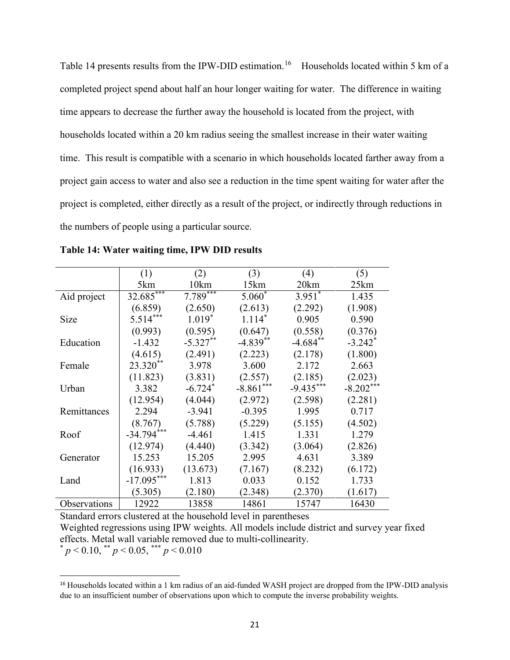Table 14 presents results from the IPW-DID estimation.<sup>16</sup> Households located within 5 km of a completed project spend about half an hour longer waiting for water. The difference in waiting time appears to decrease the further away the household is located from the project, with households located within a 20 km radius seeing the smallest increase in their water waiting time. This result is compatible with a scenario in which households located farther away from a project gain access to water and also see a reduction in the time spent waiting for water after the project is completed, either directly as a result of the project, or indirectly through reductions in the numbers of people using a particular source.

|              | (1)          | (2)        | (3)         | (4)         | (5)                   |
|--------------|--------------|------------|-------------|-------------|-----------------------|
|              | 5km          | 10km       | 15km        | 20km        | 25km                  |
| Aid project  | $32.685***$  | $7.789***$ | $5.060*$    | $3.951$ *   | 1.435                 |
|              | (6.859)      | (2.650)    | (2.613)     | (2.292)     | (1.908)               |
| Size         | $5.514***$   | $1.019*$   | $1.114*$    | 0.905       | 0.590                 |
|              | (0.993)      | (0.595)    | (0.647)     | (0.558)     | (0.376)               |
| Education    | $-1.432$     | $-5.327**$ | $-4.839**$  | $-4.684$ ** | $-3.242$ <sup>*</sup> |
|              | (4.615)      | (2.491)    | (2.223)     | (2.178)     | (1.800)               |
| Female       | 23.320**     | 3.978      | 3.600       | 2.172       | 2.663                 |
|              | (11.823)     | (3.831)    | (2.557)     | (2.185)     | (2.023)               |
| Urban        | 3.382        | $-6.724*$  | $-8.861***$ | $-9.435***$ | $-8.202***$           |
|              | (12.954)     | (4.044)    | (2.972)     | (2.598)     | (2.281)               |
| Remittances  | 2.294        | $-3.941$   | $-0.395$    | 1.995       | 0.717                 |
|              | (8.767)      | (5.788)    | (5.229)     | (5.155)     | (4.502)               |
| Roof         | $-34.794***$ | $-4.461$   | 1.415       | 1.331       | 1.279                 |
|              | (12.974)     | (4.440)    | (3.342)     | (3.064)     | (2.826)               |
| Generator    | 15.253       | 15.205     | 2.995       | 4.631       | 3.389                 |
|              | (16.933)     | (13.673)   | (7.167)     | (8.232)     | (6.172)               |
| Land         | $-17.095***$ | 1.813      | 0.033       | 0.152       | 1.733                 |
|              | (5.305)      | (2.180)    | (2.348)     | (2.370)     | (1.617)               |
| Observations | 12922        | 13858      | 14861       | 15747       | 16430                 |

**Table 14: Water waiting time, IPW DID results**

Standard errors clustered at the household level in parentheses

Weighted regressions using IPW weights. All models include district and survey year fixed effects. Metal wall variable removed due to multi-collinearity.

 $p < 0.10$ , \*\*  $p < 0.05$ , \*\*\*  $p < 0.010$ 

<span id="page-22-0"></span><sup>&</sup>lt;sup>16</sup> Households located within a 1 km radius of an aid-funded WASH project are dropped from the IPW-DID analysis due to an insufficient number of observations upon which to compute the inverse probability weights.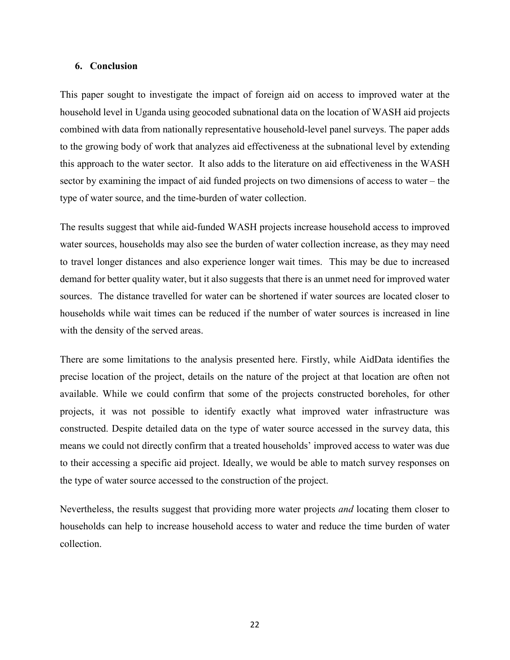#### **6. Conclusion**

This paper sought to investigate the impact of foreign aid on access to improved water at the household level in Uganda using geocoded subnational data on the location of WASH aid projects combined with data from nationally representative household-level panel surveys. The paper adds to the growing body of work that analyzes aid effectiveness at the subnational level by extending this approach to the water sector. It also adds to the literature on aid effectiveness in the WASH sector by examining the impact of aid funded projects on two dimensions of access to water – the type of water source, and the time-burden of water collection.

The results suggest that while aid-funded WASH projects increase household access to improved water sources, households may also see the burden of water collection increase, as they may need to travel longer distances and also experience longer wait times. This may be due to increased demand for better quality water, but it also suggests that there is an unmet need for improved water sources. The distance travelled for water can be shortened if water sources are located closer to households while wait times can be reduced if the number of water sources is increased in line with the density of the served areas.

There are some limitations to the analysis presented here. Firstly, while AidData identifies the precise location of the project, details on the nature of the project at that location are often not available. While we could confirm that some of the projects constructed boreholes, for other projects, it was not possible to identify exactly what improved water infrastructure was constructed. Despite detailed data on the type of water source accessed in the survey data, this means we could not directly confirm that a treated households' improved access to water was due to their accessing a specific aid project. Ideally, we would be able to match survey responses on the type of water source accessed to the construction of the project.

Nevertheless, the results suggest that providing more water projects *and* locating them closer to households can help to increase household access to water and reduce the time burden of water collection.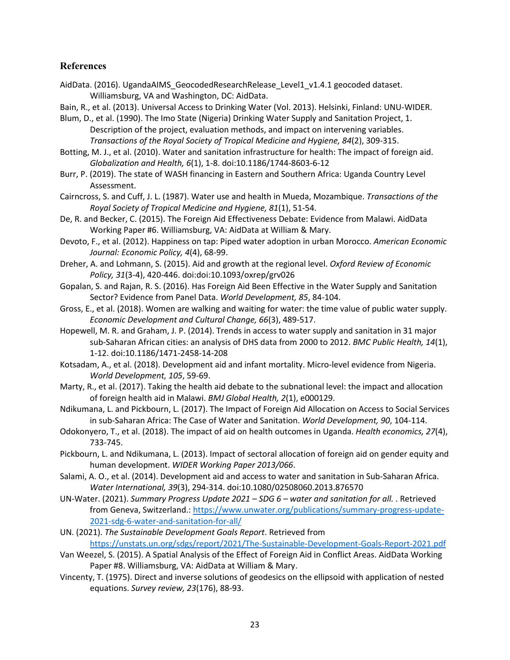## **References**

AidData. (2016). UgandaAIMS GeocodedResearchRelease Level1 v1.4.1 geocoded dataset. Williamsburg, VA and Washington, DC: AidData.

Bain, R., et al. (2013). Universal Access to Drinking Water (Vol. 2013). Helsinki, Finland: UNU-WIDER.

- Blum, D., et al. (1990). The Imo State (Nigeria) Drinking Water Supply and Sanitation Project, 1. Description of the project, evaluation methods, and impact on intervening variables. *Transactions of the Royal Society of Tropical Medicine and Hygiene, 84*(2), 309-315.
- Botting, M. J., et al. (2010). Water and sanitation infrastructure for health: The impact of foreign aid. *Globalization and Health, 6*(1), 1-8. doi:10.1186/1744-8603-6-12
- Burr, P. (2019). The state of WASH financing in Eastern and Southern Africa: Uganda Country Level Assessment.
- Cairncross, S. and Cuff, J. L. (1987). Water use and health in Mueda, Mozambique. *Transactions of the Royal Society of Tropical Medicine and Hygiene, 81*(1), 51-54.
- De, R. and Becker, C. (2015). The Foreign Aid Effectiveness Debate: Evidence from Malawi. AidData Working Paper #6. Williamsburg, VA: AidData at William & Mary.
- Devoto, F., et al. (2012). Happiness on tap: Piped water adoption in urban Morocco. *American Economic Journal: Economic Policy, 4*(4), 68-99.
- Dreher, A. and Lohmann, S. (2015). Aid and growth at the regional level. *Oxford Review of Economic Policy, 31*(3-4), 420-446. doi:doi:10.1093/oxrep/grv026
- Gopalan, S. and Rajan, R. S. (2016). Has Foreign Aid Been Effective in the Water Supply and Sanitation Sector? Evidence from Panel Data. *World Development, 85*, 84-104.
- Gross, E., et al. (2018). Women are walking and waiting for water: the time value of public water supply. *Economic Development and Cultural Change, 66*(3), 489-517.
- Hopewell, M. R. and Graham, J. P. (2014). Trends in access to water supply and sanitation in 31 major sub-Saharan African cities: an analysis of DHS data from 2000 to 2012. *BMC Public Health, 14*(1), 1-12. doi:10.1186/1471-2458-14-208
- Kotsadam, A., et al. (2018). Development aid and infant mortality. Micro-level evidence from Nigeria. *World Development, 105*, 59-69.
- Marty, R., et al. (2017). Taking the health aid debate to the subnational level: the impact and allocation of foreign health aid in Malawi. *BMJ Global Health, 2*(1), e000129.
- Ndikumana, L. and Pickbourn, L. (2017). The Impact of Foreign Aid Allocation on Access to Social Services in sub-Saharan Africa: The Case of Water and Sanitation. *World Development, 90*, 104-114.
- Odokonyero, T., et al. (2018). The impact of aid on health outcomes in Uganda. *Health economics, 27*(4), 733-745.
- Pickbourn, L. and Ndikumana, L. (2013). Impact of sectoral allocation of foreign aid on gender equity and human development. *WIDER Working Paper 2013/066*.
- Salami, A. O., et al. (2014). Development aid and access to water and sanitation in Sub-Saharan Africa. *Water International, 39*(3), 294-314. doi:10.1080/02508060.2013.876570
- UN-Water. (2021). *Summary Progress Update 2021 – SDG 6 – water and sanitation for all.* . Retrieved from Geneva, Switzerland.[: https://www.unwater.org/publications/summary-progress-update-](https://www.unwater.org/publications/summary-progress-update-2021-sdg-6-water-and-sanitation-for-all/)[2021-sdg-6-water-and-sanitation-for-all/](https://www.unwater.org/publications/summary-progress-update-2021-sdg-6-water-and-sanitation-for-all/)
- UN. (2021). *The Sustainable Development Goals Report*. Retrieved from <https://unstats.un.org/sdgs/report/2021/The-Sustainable-Development-Goals-Report-2021.pdf>
- Van Weezel, S. (2015). A Spatial Analysis of the Effect of Foreign Aid in Conflict Areas. AidData Working Paper #8. Williamsburg, VA: AidData at William & Mary.
- Vincenty, T. (1975). Direct and inverse solutions of geodesics on the ellipsoid with application of nested equations. *Survey review, 23*(176), 88-93.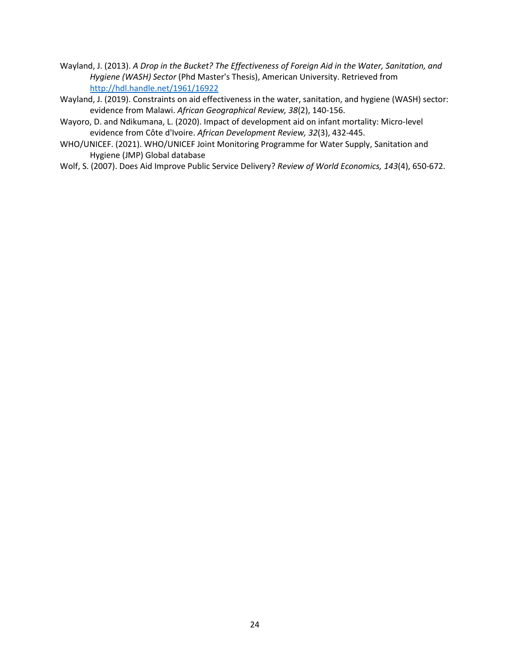- Wayland, J. (2013). *A Drop in the Bucket? The Effectiveness of Foreign Aid in the Water, Sanitation, and Hygiene (WASH) Sector* (Phd Master's Thesis), American University. Retrieved from <http://hdl.handle.net/1961/16922>
- Wayland, J. (2019). Constraints on aid effectiveness in the water, sanitation, and hygiene (WASH) sector: evidence from Malawi. *African Geographical Review, 38*(2), 140-156.
- Wayoro, D. and Ndikumana, L. (2020). Impact of development aid on infant mortality: Micro-level evidence from Côte d'Ivoire. *African Development Review, 32*(3), 432-445.
- WHO/UNICEF. (2021). WHO/UNICEF Joint Monitoring Programme for Water Supply, Sanitation and Hygiene (JMP) Global database
- Wolf, S. (2007). Does Aid Improve Public Service Delivery? *Review of World Economics, 143*(4), 650-672.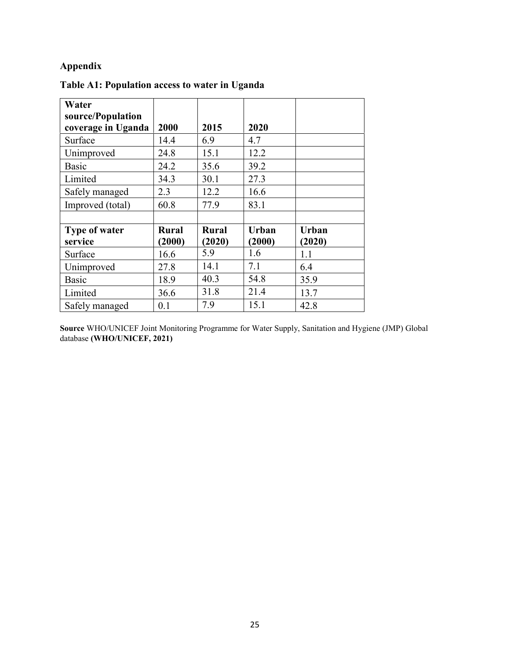## **Appendix**

| Table A1: Population access to water in Uganda |  |  |  |  |  |  |
|------------------------------------------------|--|--|--|--|--|--|
|------------------------------------------------|--|--|--|--|--|--|

| Water                |              |              |              |        |
|----------------------|--------------|--------------|--------------|--------|
| source/Population    |              |              |              |        |
| coverage in Uganda   | 2000         | 2015         | 2020         |        |
| Surface              | 14.4         | 6.9          | 4.7          |        |
| Unimproved           | 24.8         | 15.1         | 12.2         |        |
| Basic                | 24.2         | 35.6         | 39.2         |        |
| Limited              | 34.3         | 30.1         | 27.3         |        |
| Safely managed       | 2.3          | 12.2         | 16.6         |        |
| Improved (total)     | 60.8         | 77.9         | 83.1         |        |
|                      |              |              |              |        |
| <b>Type of water</b> | <b>Rural</b> | <b>Rural</b> | <b>Urban</b> | Urban  |
| service              | (2000)       | (2020)       | (2000)       | (2020) |
| Surface              | 16.6         | 5.9          | 1.6          | 1.1    |
| Unimproved           | 27.8         | 14.1         | 7.1          | 6.4    |
| Basic                | 18.9         | 40.3         | 54.8         | 35.9   |
| Limited              | 36.6         | 31.8         | 21.4         | 13.7   |
| Safely managed       | 0.1          | 7.9          | 15.1         | 42.8   |

**Source** WHO/UNICEF Joint Monitoring Programme for Water Supply, Sanitation and Hygiene (JMP) Global database **(WHO/UNICEF, 2021)**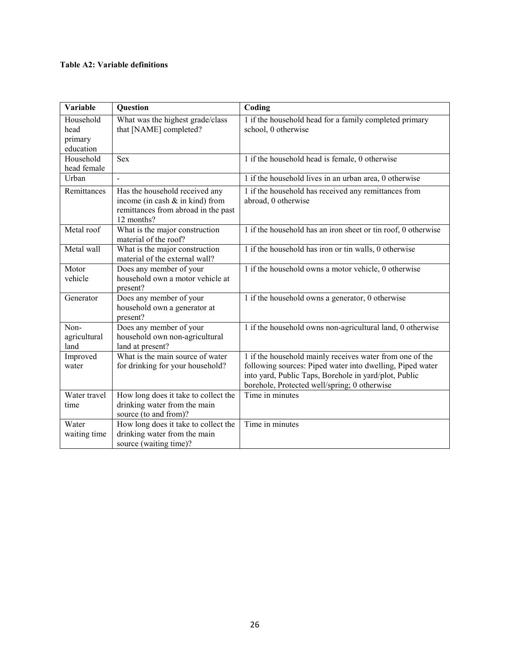#### **Table A2: Variable definitions**

| <b>Variable</b>                           | Question                                                                                                                  | Coding                                                                                                                                                                                                                         |
|-------------------------------------------|---------------------------------------------------------------------------------------------------------------------------|--------------------------------------------------------------------------------------------------------------------------------------------------------------------------------------------------------------------------------|
| Household<br>head<br>primary<br>education | What was the highest grade/class<br>that [NAME] completed?                                                                | 1 if the household head for a family completed primary<br>school, 0 otherwise                                                                                                                                                  |
| Household<br>head female                  | <b>Sex</b>                                                                                                                | 1 if the household head is female, 0 otherwise                                                                                                                                                                                 |
| Urban                                     |                                                                                                                           | 1 if the household lives in an urban area, 0 otherwise                                                                                                                                                                         |
| Remittances                               | Has the household received any<br>income (in cash $\&$ in kind) from<br>remittances from abroad in the past<br>12 months? | 1 if the household has received any remittances from<br>abroad, 0 otherwise                                                                                                                                                    |
| Metal roof                                | What is the major construction<br>material of the roof?                                                                   | 1 if the household has an iron sheet or tin roof, 0 otherwise                                                                                                                                                                  |
| Metal wall                                | What is the major construction<br>material of the external wall?                                                          | 1 if the household has iron or tin walls, 0 otherwise                                                                                                                                                                          |
| Motor<br>vehicle                          | Does any member of your<br>household own a motor vehicle at<br>present?                                                   | 1 if the household owns a motor vehicle, 0 otherwise                                                                                                                                                                           |
| Generator                                 | Does any member of your<br>household own a generator at<br>present?                                                       | 1 if the household owns a generator, 0 otherwise                                                                                                                                                                               |
| Non-<br>agricultural<br>land              | Does any member of your<br>household own non-agricultural<br>land at present?                                             | 1 if the household owns non-agricultural land, 0 otherwise                                                                                                                                                                     |
| Improved<br>water                         | What is the main source of water<br>for drinking for your household?                                                      | 1 if the household mainly receives water from one of the<br>following sources: Piped water into dwelling, Piped water<br>into yard, Public Taps, Borehole in yard/plot, Public<br>borehole, Protected well/spring; 0 otherwise |
| Water travel<br>time                      | How long does it take to collect the<br>drinking water from the main<br>source (to and from)?                             | Time in minutes                                                                                                                                                                                                                |
| Water<br>waiting time                     | How long does it take to collect the<br>drinking water from the main<br>source (waiting time)?                            | Time in minutes                                                                                                                                                                                                                |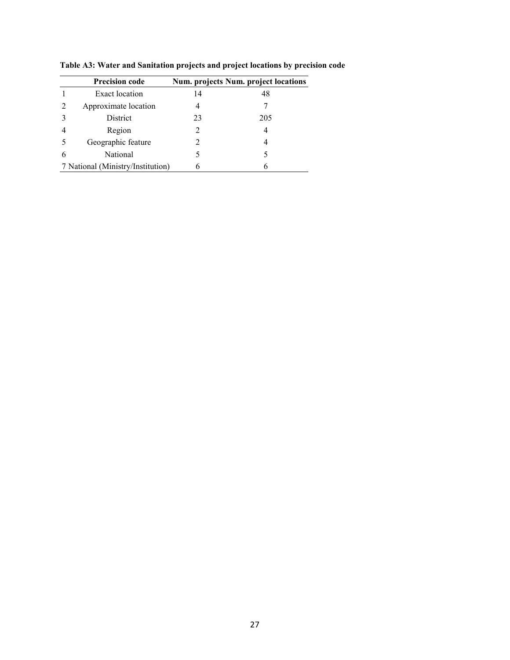| <b>Precision code</b>             |    | <b>Num. projects Num. project locations</b> |
|-----------------------------------|----|---------------------------------------------|
| Exact location                    | 14 | 48                                          |
| Approximate location              |    |                                             |
| <b>District</b>                   | 23 | 205                                         |
| Region                            | 2  |                                             |
| Geographic feature                |    |                                             |
| National                          |    |                                             |
| 7 National (Ministry/Institution) |    |                                             |

**Table A3: Water and Sanitation projects and project locations by precision code**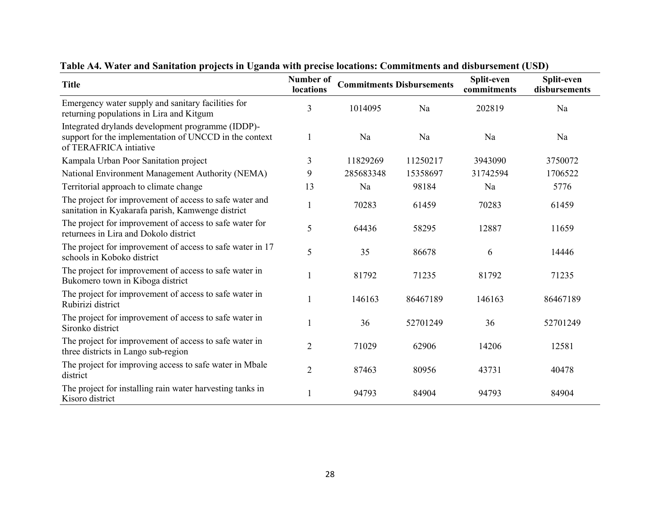| <b>Title</b>                                                                                                                          | Number of<br>locations |           | <b>Commitments Disbursements</b> | Split-even<br>commitments | Split-even<br>disbursements |
|---------------------------------------------------------------------------------------------------------------------------------------|------------------------|-----------|----------------------------------|---------------------------|-----------------------------|
| Emergency water supply and sanitary facilities for<br>returning populations in Lira and Kitgum                                        | 3                      | 1014095   | Na                               | 202819                    | Na                          |
| Integrated drylands development programme (IDDP)-<br>support for the implementation of UNCCD in the context<br>of TERAFRICA intiative | 1                      | Na        | Na                               | Na                        | Na                          |
| Kampala Urban Poor Sanitation project                                                                                                 | 3                      | 11829269  | 11250217                         | 3943090                   | 3750072                     |
| National Environment Management Authority (NEMA)                                                                                      | 9                      | 285683348 | 15358697                         | 31742594                  | 1706522                     |
| Territorial approach to climate change                                                                                                | 13                     | Na        | 98184                            | Na                        | 5776                        |
| The project for improvement of access to safe water and<br>sanitation in Kyakarafa parish, Kamwenge district                          | 1                      | 70283     | 61459                            | 70283                     | 61459                       |
| The project for improvement of access to safe water for<br>returnees in Lira and Dokolo district                                      | 5                      | 64436     | 58295                            | 12887                     | 11659                       |
| The project for improvement of access to safe water in 17<br>schools in Koboko district                                               | 5                      | 35        | 86678                            | 6                         | 14446                       |
| The project for improvement of access to safe water in<br>Bukomero town in Kiboga district                                            |                        | 81792     | 71235                            | 81792                     | 71235                       |
| The project for improvement of access to safe water in<br>Rubirizi district                                                           | 1                      | 146163    | 86467189                         | 146163                    | 86467189                    |
| The project for improvement of access to safe water in<br>Sironko district                                                            | 1                      | 36        | 52701249                         | 36                        | 52701249                    |
| The project for improvement of access to safe water in<br>three districts in Lango sub-region                                         | $\overline{2}$         | 71029     | 62906                            | 14206                     | 12581                       |
| The project for improving access to safe water in Mbale<br>district                                                                   | $\overline{2}$         | 87463     | 80956                            | 43731                     | 40478                       |
| The project for installing rain water harvesting tanks in<br>Kisoro district                                                          |                        | 94793     | 84904                            | 94793                     | 84904                       |

**Table A4. Water and Sanitation projects in Uganda with precise locations: Commitments and disbursement (USD)**